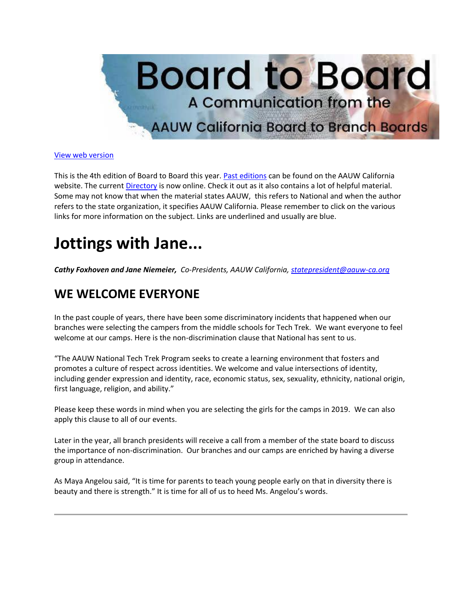

#### [View web version](https://bor.aauw-ca.org/sendy/w/892WZcugyyn7Dp4I7u2fztNQ/X4kB0ERVfDDPr7iAvcwqJA/4OOdQwo3E0XRhgtowY5CWA)

This is the 4th edition of Board to Board this year. [Past editions](https://bor.aauw-ca.org/sendy/l/892WZcugyyn7Dp4I7u2fztNQ/7czcJz6DAECNJyDKiq892apQ/4OOdQwo3E0XRhgtowY5CWA) can be found on the AAUW California website. The current [Directory](https://bor.aauw-ca.org/sendy/l/892WZcugyyn7Dp4I7u2fztNQ/grimlMY2rXzUF9UlDzKa5w/4OOdQwo3E0XRhgtowY5CWA) is now online. Check it out as it also contains a lot of helpful material. Some may not know that when the material states AAUW, this refers to National and when the author refers to the state organization, it specifies AAUW California. Please remember to click on the various links for more information on the subject. Links are underlined and usually are blue.

## **Jottings with Jane...**

*Cathy Foxhoven and Jane Niemeier, Co-Presidents, AAUW California, [statepresident@aauw-ca.org](mailto:statepresident@aauw-ca.org)*

#### **WE WELCOME EVERYONE**

In the past couple of years, there have been some discriminatory incidents that happened when our branches were selecting the campers from the middle schools for Tech Trek. We want everyone to feel welcome at our camps. Here is the non-discrimination clause that National has sent to us.

"The AAUW National Tech Trek Program seeks to create a learning environment that fosters and promotes a culture of respect across identities. We welcome and value intersections of identity, including gender expression and identity, race, economic status, sex, sexuality, ethnicity, national origin, first language, religion, and ability."

Please keep these words in mind when you are selecting the girls for the camps in 2019. We can also apply this clause to all of our events.

Later in the year, all branch presidents will receive a call from a member of the state board to discuss the importance of non-discrimination. Our branches and our camps are enriched by having a diverse group in attendance.

As Maya Angelou said, "It is time for parents to teach young people early on that in diversity there is beauty and there is strength." It is time for all of us to heed Ms. Angelou's words.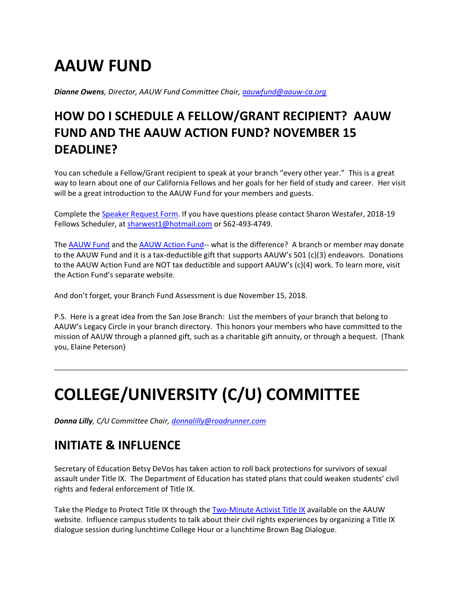# **AAUW FUND**

*Dianne Owens, Director, AAUW Fund Committee Chair, [aauwfund@aauw-ca.org](mailto:aauwfund@aauw-ca.org)*

## **HOW DO I SCHEDULE A FELLOW/GRANT RECIPIENT? AAUW FUND AND THE AAUW ACTION FUND? NOVEMBER 15 DEADLINE?**

You can schedule a Fellow/Grant recipient to speak at your branch "every other year." This is a great way to learn about one of our California Fellows and her goals for her field of study and career. Her visit will be a great introduction to the AAUW Fund for your members and guests.

Complete the [Speaker Request Form.](https://bor.aauw-ca.org/sendy/l/892WZcugyyn7Dp4I7u2fztNQ/bQH2vQlHxPdDo9zoLtQBHQ/4OOdQwo3E0XRhgtowY5CWA) If you have questions please contact Sharon Westafer, 2018-19 Fellows Scheduler, at [sharwest1@hotmail.com](mailto:sharwest1@hotmail.com) or 562-493-4749.

The [AAUW Fund](https://bor.aauw-ca.org/sendy/l/892WZcugyyn7Dp4I7u2fztNQ/vxe5xbO892zvomwcACfCwRpQ/4OOdQwo3E0XRhgtowY5CWA) and the [AAUW Action Fund-](https://bor.aauw-ca.org/sendy/l/892WZcugyyn7Dp4I7u2fztNQ/rmrFq72emQytIAmoFGidlA/4OOdQwo3E0XRhgtowY5CWA)- what is the difference? A branch or member may donate to the AAUW Fund and it is a tax-deductible gift that supports AAUW's 501 (c)(3) endeavors. Donations to the AAUW Action Fund are NOT tax deductible and support AAUW's (c)(4) work. To learn more, visit the Action Fund's separate website.

And don't forget, your Branch Fund Assessment is due November 15, 2018.

P.S. Here is a great idea from the San Jose Branch: List the members of your branch that belong to AAUW's Legacy Circle in your branch directory. This honors your members who have committed to the mission of AAUW through a planned gift, such as a charitable gift annuity, or through a bequest. (Thank you, Elaine Peterson)

# **COLLEGE/UNIVERSITY (C/U) COMMITTEE**

*Donna Lilly, C/U Committee Chair, [donnalilly@roadrunner.com](mailto:donnalilly@roadrunner.com)*

#### **INITIATE & INFLUENCE**

Secretary of Education Betsy DeVos has taken action to roll back protections for survivors of sexual assault under Title IX. The Department of Education has stated plans that could weaken students' civil rights and federal enforcement of Title IX.

Take the Pledge to Protect Title IX through the [Two-Minute Activist Title IX](https://bor.aauw-ca.org/sendy/l/892WZcugyyn7Dp4I7u2fztNQ/GsTsCoJzRZdfzI8927JRaX5w/4OOdQwo3E0XRhgtowY5CWA) available on the AAUW website. Influence campus students to talk about their civil rights experiences by organizing a Title IX dialogue session during lunchtime College Hour or a lunchtime Brown Bag Dialogue.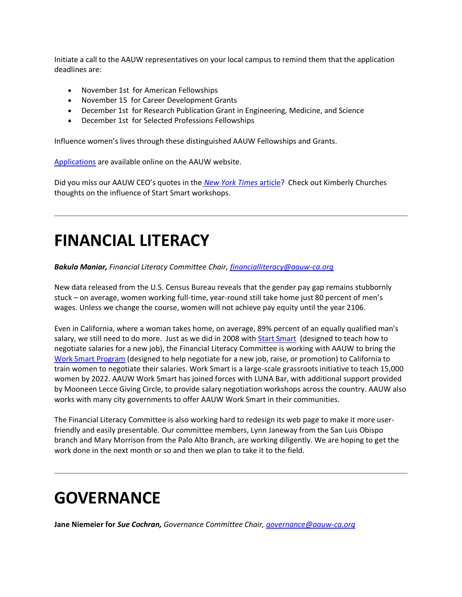Initiate a call to the AAUW representatives on your local campus to remind them that the application deadlines are:

- November 1st for American Fellowships
- November 15 for Career Development Grants
- December 1st for Research Publication Grant in Engineering, Medicine, and Science
- December 1st for Selected Professions Fellowships

Influence women's lives through these distinguished AAUW Fellowships and Grants.

[Applications](https://bor.aauw-ca.org/sendy/l/892WZcugyyn7Dp4I7u2fztNQ/oHdjxVgddn3rFKkERR763J5g/4OOdQwo3E0XRhgtowY5CWA) are available online on the AAUW website.

Did you miss our AAUW CEO's quotes in the *[New York Times](https://bor.aauw-ca.org/sendy/l/892WZcugyyn7Dp4I7u2fztNQ/tSyVOu6LYO4A8vEZa2ZoBw/4OOdQwo3E0XRhgtowY5CWA)* article? Check out Kimberly Churches thoughts on the influence of Start Smart workshops.

## **FINANCIAL LITERACY**

*Bakula Maniar, Financial Literacy Committee Chair, [financialliteracy@aauw-ca.org](mailto:financialliteracy@aauw-ca.org)*

New data released from the U.S. Census Bureau reveals that the gender pay gap remains stubbornly stuck – on average, women working full-time, year-round still take home just 80 percent of men's wages. Unless we change the course, women will not achieve pay equity until the year 2106.

Even in California, where a woman takes home, on average, 89% percent of an equally qualified man's salary, we still need to do more. Just as we did in 2008 with **Start Smart** (designed to teach how to negotiate salaries for a new job), the Financial Literacy Committee is working with AAUW to bring the [Work Smart Program](https://bor.aauw-ca.org/sendy/l/892WZcugyyn7Dp4I7u2fztNQ/iORMrl4Dl892dyGrKuOUc5sg/4OOdQwo3E0XRhgtowY5CWA) (designed to help negotiate for a new job, raise, or promotion) to California to train women to negotiate their salaries. Work Smart is a large-scale grassroots initiative to teach 15,000 women by 2022. AAUW Work Smart has joined forces with LUNA Bar, with additional support provided by Mooneen Lecce Giving Circle, to provide salary negotiation workshops across the country. AAUW also works with many city governments to offer AAUW Work Smart in their communities.

The Financial Literacy Committee is also working hard to redesign its web page to make it more userfriendly and easily presentable. Our committee members, Lynn Janeway from the San Luis Obispo branch and Mary Morrison from the Palo Alto Branch, are working diligently. We are hoping to get the work done in the next month or so and then we plan to take it to the field.

# **GOVERNANCE**

**Jane Niemeier for** *Sue Cochran, Governance Committee Chair, [governance@aauw-ca.org](mailto:governance@aauw-ca.org)*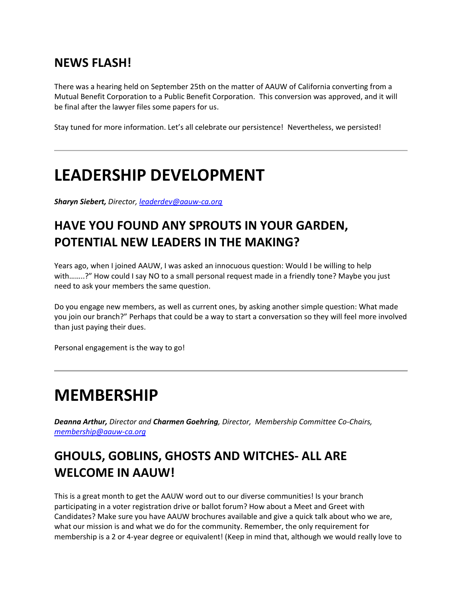### **NEWS FLASH!**

There was a hearing held on September 25th on the matter of AAUW of California converting from a Mutual Benefit Corporation to a Public Benefit Corporation. This conversion was approved, and it will be final after the lawyer files some papers for us.

Stay tuned for more information. Let's all celebrate our persistence! Nevertheless, we persisted!

## **LEADERSHIP DEVELOPMENT**

*Sharyn Siebert, Director[, leaderdev@aauw-ca.org](mailto:leaderdev@aauw-ca.org)*

## **HAVE YOU FOUND ANY SPROUTS IN YOUR GARDEN, POTENTIAL NEW LEADERS IN THE MAKING?**

Years ago, when I joined AAUW, I was asked an innocuous question: Would I be willing to help with……..?" How could I say NO to a small personal request made in a friendly tone? Maybe you just need to ask your members the same question.

Do you engage new members, as well as current ones, by asking another simple question: What made you join our branch?" Perhaps that could be a way to start a conversation so they will feel more involved than just paying their dues.

Personal engagement is the way to go!

## **MEMBERSHIP**

*Deanna Arthur, Director and Charmen Goehring, Director, Membership Committee Co-Chairs, [membership@aauw-ca.org](mailto:membership@aauw-ca.org)*

## **GHOULS, GOBLINS, GHOSTS AND WITCHES- ALL ARE WELCOME IN AAUW!**

This is a great month to get the AAUW word out to our diverse communities! Is your branch participating in a voter registration drive or ballot forum? How about a Meet and Greet with Candidates? Make sure you have AAUW brochures available and give a quick talk about who we are, what our mission is and what we do for the community. Remember, the only requirement for membership is a 2 or 4-year degree or equivalent! (Keep in mind that, although we would really love to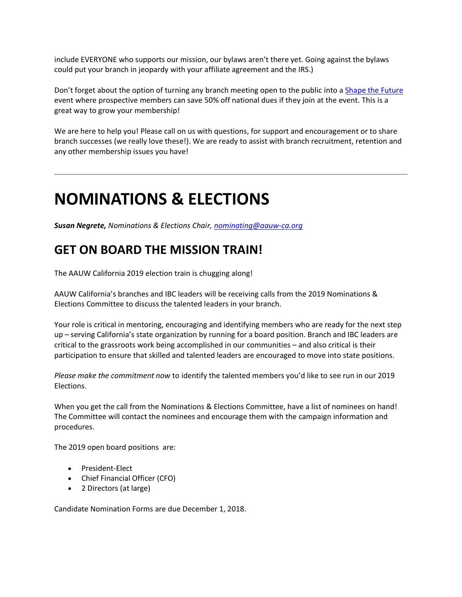include EVERYONE who supports our mission, our bylaws aren't there yet. Going against the bylaws could put your branch in jeopardy with your affiliate agreement and the IRS.)

Don't forget about the option of turning any branch meeting open to the public into [a Shape the Future](https://bor.aauw-ca.org/sendy/l/892WZcugyyn7Dp4I7u2fztNQ/XPrA763MDrrHA5JO9D290sXQ/4OOdQwo3E0XRhgtowY5CWA) event where prospective members can save 50% off national dues if they join at the event. This is a great way to grow your membership!

We are here to help you! Please call on us with questions, for support and encouragement or to share branch successes (we really love these!). We are ready to assist with branch recruitment, retention and any other membership issues you have!

## **NOMINATIONS & ELECTIONS**

*Susan Negrete, Nominations & Elections Chair[, nominating@aauw-ca.org](mailto:nominating@aauw-ca.org)*

### **GET ON BOARD THE MISSION TRAIN!**

The AAUW California 2019 election train is chugging along!

AAUW California's branches and IBC leaders will be receiving calls from the 2019 Nominations & Elections Committee to discuss the talented leaders in your branch.

Your role is critical in mentoring, encouraging and identifying members who are ready for the next step up – serving California's state organization by running for a board position. Branch and IBC leaders are critical to the grassroots work being accomplished in our communities – and also critical is their participation to ensure that skilled and talented leaders are encouraged to move into state positions.

*Please make the commitment now* to identify the talented members you'd like to see run in our 2019 Elections.

When you get the call from the Nominations & Elections Committee, have a list of nominees on hand! The Committee will contact the nominees and encourage them with the campaign information and procedures.

The 2019 open board positions are:

- President-Elect
- Chief Financial Officer (CFO)
- 2 Directors (at large)

Candidate Nomination Forms are due December 1, 2018.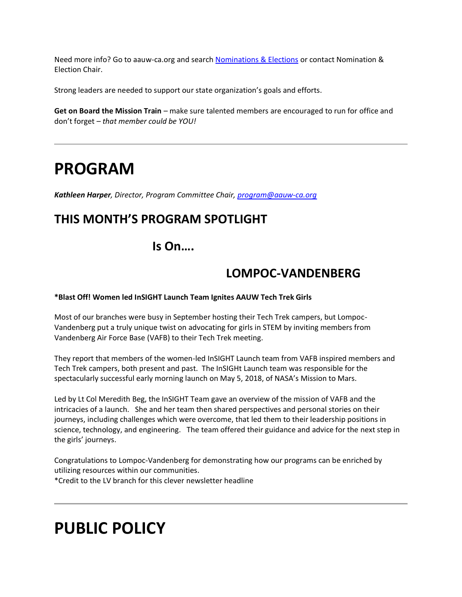Need more info? Go to aauw-ca.org and searc[h Nominations & Elections](https://bor.aauw-ca.org/sendy/l/892WZcugyyn7Dp4I7u2fztNQ/1apULCVSeDom08xjbgUo9w/4OOdQwo3E0XRhgtowY5CWA) or contact Nomination & Election Chair.

Strong leaders are needed to support our state organization's goals and efforts.

**Get on Board the Mission Train** – make sure talented members are encouraged to run for office and don't forget – *that member could be YOU!*

## **PROGRAM**

*Kathleen Harper, Director, Program Committee Chair, [program@aauw-ca.org](mailto:program@aauw-ca.org)*

### **THIS MONTH'S PROGRAM SPOTLIGHT**

**Is On….**

### **LOMPOC-VANDENBERG**

**\*Blast Off! Women led InSIGHT Launch Team Ignites AAUW Tech Trek Girls**

Most of our branches were busy in September hosting their Tech Trek campers, but Lompoc-Vandenberg put a truly unique twist on advocating for girls in STEM by inviting members from Vandenberg Air Force Base (VAFB) to their Tech Trek meeting.

They report that members of the women-led InSIGHT Launch team from VAFB inspired members and Tech Trek campers, both present and past. The InSIGHt Launch team was responsible for the spectacularly successful early morning launch on May 5, 2018, of NASA's Mission to Mars.

Led by Lt Col Meredith Beg, the InSIGHT Team gave an overview of the mission of VAFB and the intricacies of a launch. She and her team then shared perspectives and personal stories on their journeys, including challenges which were overcome, that led them to their leadership positions in science, technology, and engineering. The team offered their guidance and advice for the next step in the girls' journeys.

Congratulations to Lompoc-Vandenberg for demonstrating how our programs can be enriched by utilizing resources within our communities. \*Credit to the LV branch for this clever newsletter headline

## **PUBLIC POLICY**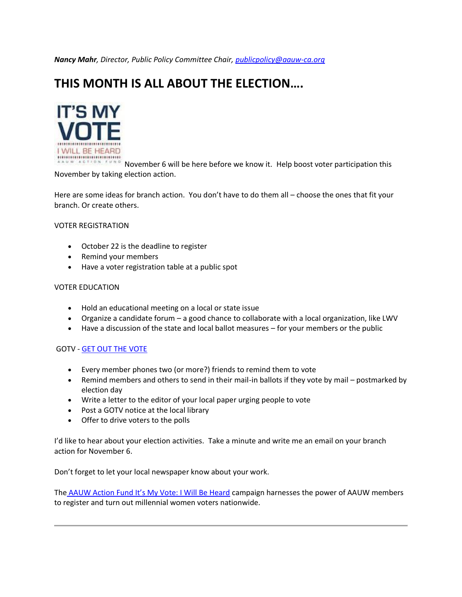*Nancy Mahr, Director, Public Policy Committee Chair, [publicpolicy@aauw-ca.org](mailto:PublicPolicy@aauw-ca.org)*

#### **THIS MONTH IS ALL ABOUT THE ELECTION….**



ACTION LUNG November 6 will be here before we know it. Help boost voter participation this November by taking election action.

Here are some ideas for branch action. You don't have to do them all – choose the ones that fit your branch. Or create others.

#### VOTER REGISTRATION

- October 22 is the deadline to register
- Remind your members
- Have a voter registration table at a public spot

#### VOTER EDUCATION

- Hold an educational meeting on a local or state issue
- Organize a candidate forum a good chance to collaborate with a local organization, like LWV
- Have a discussion of the state and local ballot measures for your members or the public

#### GOTV - [GET OUT THE VOTE](https://bor.aauw-ca.org/sendy/l/892WZcugyyn7Dp4I7u2fztNQ/hW3o0ptb0pXs2p1gcKughA/4OOdQwo3E0XRhgtowY5CWA)

- Every member phones two (or more?) friends to remind them to vote
- Remind members and others to send in their mail-in ballots if they vote by mail postmarked by election day
- Write a letter to the editor of your local paper urging people to vote
- Post a GOTV notice at the local library
- Offer to drive voters to the polls

I'd like to hear about your election activities. Take a minute and write me an email on your branch action for November 6.

Don't forget to let your local newspaper know about your work.

The [AAUW Action Fund It's My Vote: I Will Be Heard](https://bor.aauw-ca.org/sendy/l/892WZcugyyn7Dp4I7u2fztNQ/MM7y6uQ3cAd2HcxlSv9WYA/4OOdQwo3E0XRhgtowY5CWA) campaign harnesses the power of AAUW members to register and turn out millennial women voters nationwide.